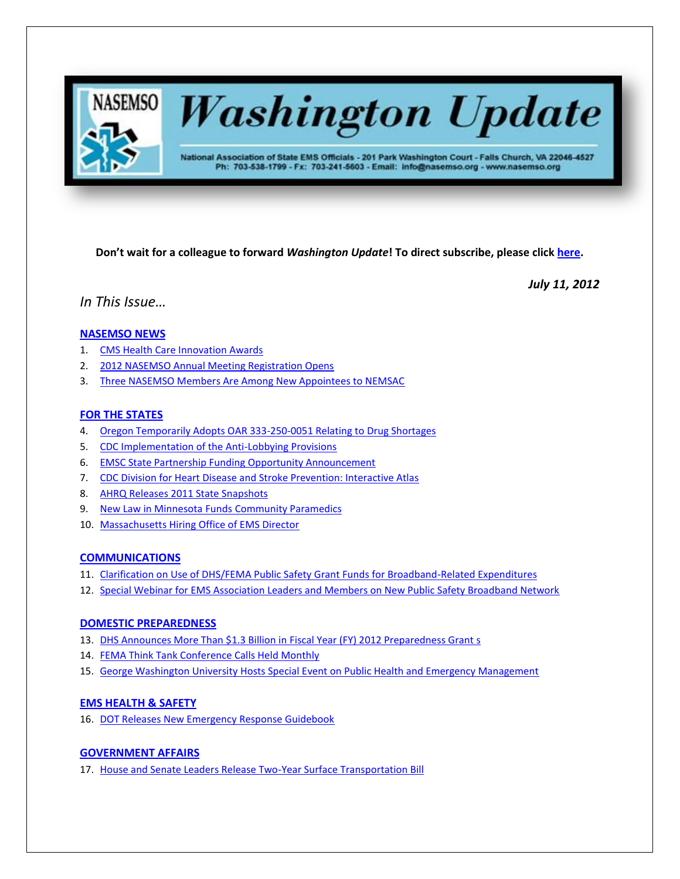

**Washington Update** 

National Association of State EMS Officials - 201 Park Washington Court - Falls Church, VA 22046-4527 Ph: 703-538-1799 - Fx: 703-241-5603 - Email: info@nasemso.org - www.nasemso.org

**Don't wait for a colleague to forward** *Washington Update***! To direct subscribe, please click [here.](http://lists.nasemso.org/read/all_forums/subscribe?name=wu%20)**

*July 11, 2012*

*In This Issue…*

# **[NASEMSO NEWS](#page-1-0)**

- 1. [CMS Health Care Innovation Awards](#page-1-0)
- 2. [2012 NASEMSO Annual Meeting Registration Opens](#page-2-0)
- 3. [Three NASEMSO Members Are Among New Appointees to NEMSAC](#page-2-1)

# **[FOR THE STATES](#page-2-2)**

- 4. [Oregon Temporarily Adopts OAR 333-250-0051 Relating to Drug Shortages](#page-2-3)
- 5. [CDC Implementation of the Anti-Lobbying Provisions](#page-2-4)
- 6. [EMSC State Partnership Funding Opportunity Announcement](#page-3-0)
- 7. [CDC Division for Heart Disease and Stroke Prevention: Interactive Atlas](#page-3-1)
- 8. [AHRQ Releases 2011 State Snapshots](#page-3-2)
- 9. [New Law in Minnesota Funds Community Paramedics](#page-3-3)
- 10. [Massachusetts Hiring Office of EMS Director](#page-4-0)

# **[COMMUNICATIONS](#page-4-1)**

- 11. [Clarification on Use of DHS/FEMA Public Safety Grant Funds for Broadband-Related Expenditures](#page-4-2)
- 12. [Special Webinar for EMS Association Leaders and Members on New Public Safety Broadband Network](#page-4-3)

# **[DOMESTIC PREPAREDNESS](#page-4-4)**

- 13. [DHS Announces More Than \\$1.3 Billion in Fiscal Year \(FY\) 2012 Preparedness Grant s](#page-4-5)
- 14. [FEMA Think Tank Conference Calls Held Monthly](#page-4-6)
- 15. [George Washington University Hosts Special Event on Public Health and Emergency Management](#page-5-0)

# **[EMS HEALTH & SAFETY](#page-5-1)**

16. [DOT Releases New Emergency Response Guidebook](#page-5-2)

# **[GOVERNMENT AFFAIRS](#page-5-3)**

17. [House and Senate Leaders Release Two-Year Surface Transportation Bill](#page-5-4)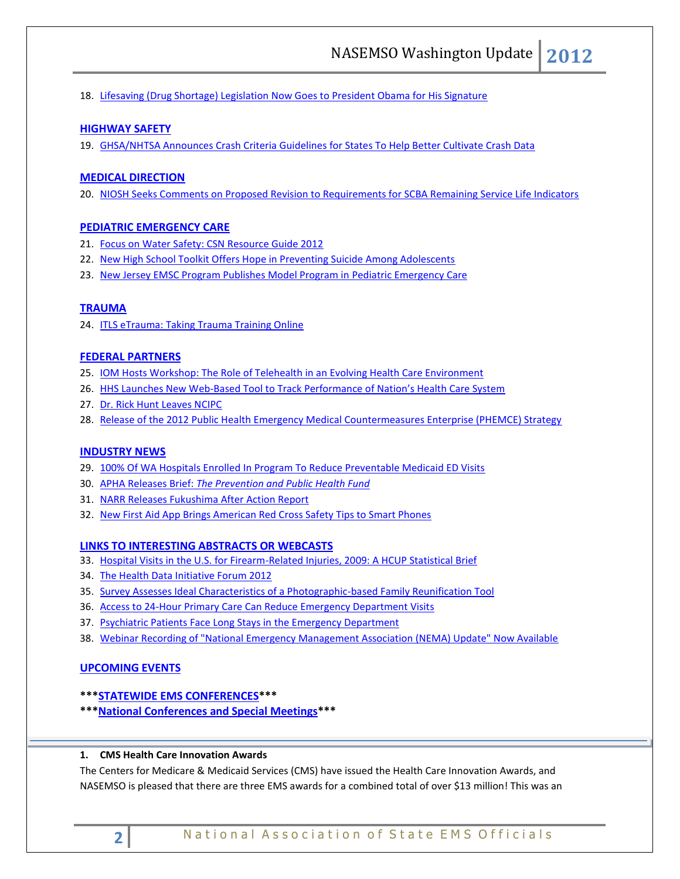18. [Lifesaving \(Drug Shortage\) Legislation Now Goes to President Obama for His Signature](#page-5-5)

# **[HIGHWAY SAFETY](#page-5-6)**

19. [GHSA/NHTSA Announces Crash Criteria Guidelines for States To Help Better Cultivate Crash Data](#page-5-6)

# **MEDICAL [DIRECTION](#page-6-0)**

20. [NIOSH Seeks Comments on Proposed Revision to Requirements for SCBA Remaining Service Life Indicators](#page-6-1)

### **[PEDIATRIC EMERGENCY CARE](#page-6-2)**

- 21. [Focus on Water Safety: CSN Resource Guide 2012](#page-6-3)
- 22. [New High School Toolkit Offers Hope in Preventing Suicide Among Adolescents](#page-6-4)
- 23. [New Jersey EMSC Program Publishes Model Program in Pediatric Emergency Care](#page-6-5)

### **[TRAUMA](#page-6-6)**

24. [ITLS eTrauma: Taking Trauma Training Online](#page-6-7)

#### **[FEDERAL PARTNERS](#page-7-0)**

- 25. [IOM Hosts Workshop: The Role of Telehealth in an Evolving Health Care Environment](#page-7-1)
- 26. HHS Launches New Web-[Based Tool to Track Performance of Nation's Health Care System](#page-7-2)
- 27. [Dr. Rick Hunt Leaves NCIPC](#page-7-3)
- 28. [Release of the 2012 Public Health Emergency Medical Countermeasures Enterprise \(PHEMCE\) Strategy](#page-7-4)

### **[INDUSTRY NEWS](#page-8-0)**

- 29. [100% Of WA Hospitals Enrolled In Program To Reduce Preventable Medicaid ED Visits](#page-8-1)
- 30. APHA Releases Brief: *[The Prevention and Public Health Fund](#page-8-2)*
- 31. [NARR Releases Fukushima After Action Report](#page-8-3)
- 32. [New First Aid App Brings American Red Cross Safety Tips to Smart Phones](#page-8-4)

#### **[LINKS TO INTERESTING ABSTRACTS OR WEBCASTS](#page-9-0)**

- 33. [Hospital Visits in the U.S. for Firearm-Related Injuries, 2009: A HCUP Statistical Brief](#page-9-1)
- 34. The [Health Data Initiative Forum 2012](#page-9-2)
- 35. [Survey Assesses Ideal Characteristics of a Photographic-based Family Reunification Tool](#page-9-3)
- 36. [Access to 24-Hour Primary Care Can Reduce Emergency Department Visits](#page-9-4)
- 37. [Psychiatric Patients Face Long Stays in](#page-9-5) the Emergency Department
- 38. [Webinar Recording of "National Emergency Management Association \(NEMA\) Update" Now Available](#page-10-0)

# **[UPCOMING EVENTS](#page-10-1)**

# **\*\*[\\*STATEWIDE EMS CONFERENCES\\*](#page-10-2)\*\***

**\*\*[\\*National Conferences and Special Meetings\\*](#page-10-3)\*\***

#### <span id="page-1-0"></span>**1. CMS Health Care Innovation Awards**

The Centers for Medicare & Medicaid Services (CMS) have issued the Health Care Innovation Awards, and NASEMSO is pleased that there are three EMS awards for a combined total of over \$13 million! This was an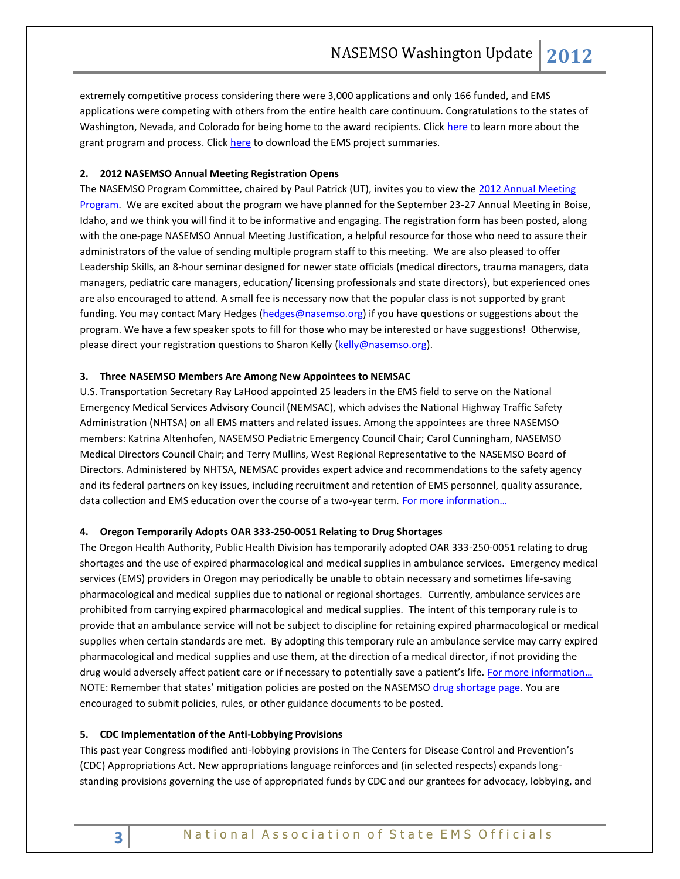extremely competitive process considering there were 3,000 applications and only 166 funded, and EMS applications were competing with others from the entire health care continuum. Congratulations to the states of Washington, Nevada, and Colorado for being home to the award recipients. Click [here](http://innovations.cms.gov/initiatives/Innovation-Awards/Fact-Sheet-Selection-Process.html) to learn more about the grant program and process. Click [here](http://www.nasemso.org/documents/CMSHealthCareInnovationAwards.pdf) to download the EMS project summaries.

# <span id="page-2-0"></span>**2. 2012 NASEMSO Annual Meeting Registration Opens**

The NASEMSO Program Committee, chaired by Paul Patrick (UT), invites you to view the 2012 Annual Meeting [Program.](http://www.nasemso.org/Meetings/Annual/AnnualMeeting2012.asp) We are excited about the program we have planned for the September 23-27 Annual Meeting in Boise, Idaho, and we think you will find it to be informative and engaging. The registration form has been posted, along with the one-page NASEMSO Annual Meeting Justification, a helpful resource for those who need to assure their administrators of the value of sending multiple program staff to this meeting. We are also pleased to offer Leadership Skills, an 8-hour seminar designed for newer state officials (medical directors, trauma managers, data managers, pediatric care managers, education/ licensing professionals and state directors), but experienced ones are also encouraged to attend. A small fee is necessary now that the popular class is not supported by grant funding. You may contact Mary Hedges [\(hedges@nasemso.org\)](mailto:hedges@nasemso.org) if you have questions or suggestions about the program. We have a few speaker spots to fill for those who may be interested or have suggestions! Otherwise, please direct your registration questions to Sharon Kelly [\(kelly@nasemso.org\)](mailto:kelly@nasemso.org).

# <span id="page-2-1"></span>**3. Three NASEMSO Members Are Among New Appointees to NEMSAC**

U.S. Transportation Secretary Ray LaHood appointed 25 leaders in the EMS field to serve on the National Emergency Medical Services Advisory Council (NEMSAC), which advises the National Highway Traffic Safety Administration (NHTSA) on all EMS matters and related issues. Among the appointees are three NASEMSO members: Katrina Altenhofen, NASEMSO Pediatric Emergency Council Chair; Carol Cunningham, NASEMSO Medical Directors Council Chair; and Terry Mullins, West Regional Representative to the NASEMSO Board of Directors. Administered by NHTSA, NEMSAC provides expert advice and recommendations to the safety agency and its federal partners on key issues, including recruitment and retention of EMS personnel, quality assurance, data collection and EMS education over the course of a two-year term. For more information...

# <span id="page-2-3"></span><span id="page-2-2"></span>**4. Oregon Temporarily Adopts OAR 333-250-0051 Relating to Drug Shortages**

The Oregon Health Authority, Public Health Division has temporarily adopted OAR 333-250-0051 relating to drug shortages and the use of expired pharmacological and medical supplies in ambulance services. Emergency medical services (EMS) providers in Oregon may periodically be unable to obtain necessary and sometimes life-saving pharmacological and medical supplies due to national or regional shortages. Currently, ambulance services are prohibited from carrying expired pharmacological and medical supplies. The intent of this temporary rule is to provide that an ambulance service will not be subject to discipline for retaining expired pharmacological or medical supplies when certain standards are met. By adopting this temporary rule an ambulance service may carry expired pharmacological and medical supplies and use them, at the direction of a medical director, if not providing the drug would adversely affect patient care or if necessary to potentially save a patient's life. For more information... NOTE: Remember that states' mitigation policies are posted on the NASEMSO [drug shortage page.](https://www.nasemso.org/Members/IssueBrief-DrugShortages.asp) You are encouraged to submit policies, rules, or other guidance documents to be posted.

# <span id="page-2-4"></span>**5. CDC Implementation of the Anti-Lobbying Provisions**

This past year Congress modified anti-lobbying provisions in The Centers for Disease Control and Prevention's (CDC) Appropriations Act. New appropriations language reinforces and (in selected respects) expands longstanding provisions governing the use of appropriated funds by CDC and our grantees for advocacy, lobbying, and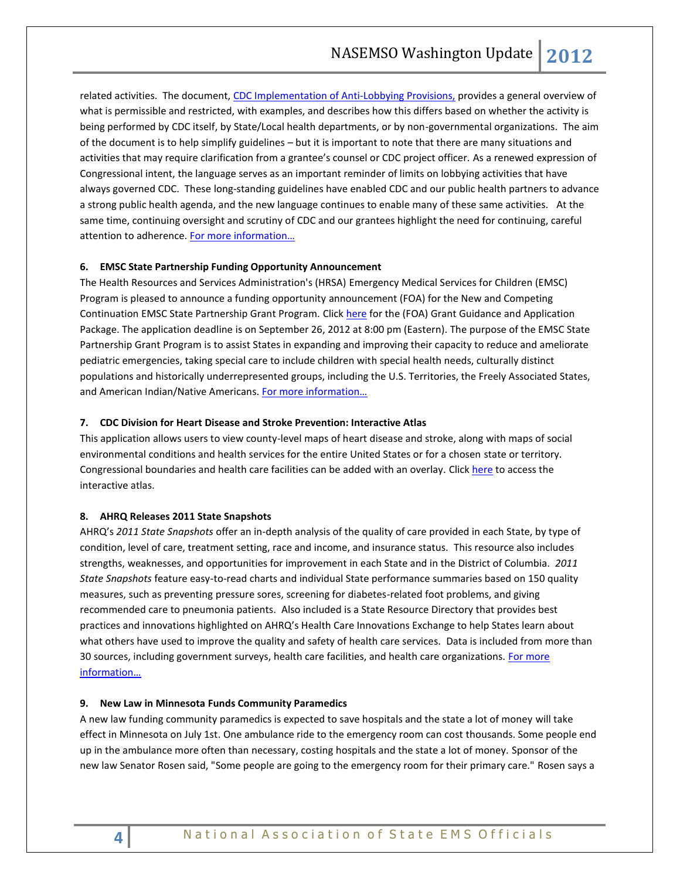related activities. The document, [CDC Implementation of Anti-Lobbying Provisions,](http://healthyamericans.org/assets/files/CDC%20Implementation%20of%20Anti-Lobbying%20Restrictions%20-%20June%202012.pdf) provides a general overview of what is permissible and restricted, with examples, and describes how this differs based on whether the activity is being performed by CDC itself, by State/Local health departments, or by non-governmental organizations. The aim of the document is to help simplify guidelines – but it is important to note that there are many situations and activities that may require clarification from a grantee's counsel or CDC project officer. As a renewed expression of Congressional intent, the language serves as an important reminder of limits on lobbying activities that have always governed CDC. These long-standing guidelines have enabled CDC and our public health partners to advance a strong public health agenda, and the new language continues to enable many of these same activities. At the same time, continuing oversight and scrutiny of CDC and our grantees highlight the need for continuing, careful attention to adherence. For more information...

# <span id="page-3-0"></span>**6. EMSC State Partnership Funding Opportunity Announcement**

The Health Resources and Services Administration's (HRSA) Emergency Medical Services for Children (EMSC) Program is pleased to announce a funding opportunity announcement (FOA) for the New and Competing Continuation EMSC State Partnership Grant Program. Click [here](http://apply07.grants.gov/apply/UpdateOffer?id=129490) for the (FOA) Grant Guidance and Application Package. The application deadline is on September 26, 2012 at 8:00 pm (Eastern). The purpose of the EMSC State Partnership Grant Program is to assist States in expanding and improving their capacity to reduce and ameliorate pediatric emergencies, taking special care to include children with special health needs, culturally distinct populations and historically underrepresented groups, including the U.S. Territories, the Freely Associated States, and American Indian/Native Americans. [For more information…](http://www.grants.gov/search/search.do;jsessionid=csqVPnpHdvc13yb4d4RR2xTnwph2GyXgyZ6rJ9QsHclJgSbNFn79!-733937191?oppId=180213&mode=VIEW)

# <span id="page-3-1"></span>**7. CDC [Division for Heart Disease and Stroke Prevention: Interactive Atlas](http://apps.nccd.cdc.gov/dhdspatlas/Default.aspx)**

This application allows users to view county-level maps of heart disease and stroke, along with maps of social environmental conditions and health services for the entire United States or for a chosen state or territory. Congressional boundaries and health care facilities can be added with an overlay. Click [here](http://apps.nccd.cdc.gov/dhdspatlas/Default.aspx) to access the interactive atlas.

# <span id="page-3-2"></span>**8. AHRQ Releases 2011 State Snapshots**

AHRQ's *2011 State Snapshots* offer an in-depth analysis of the quality of care provided in each State, by type of condition, level of care, treatment setting, race and income, and insurance status. This resource also includes strengths, weaknesses, and opportunities for improvement in each State and in the District of Columbia. *2011 State Snapshots* feature easy-to-read charts and individual State performance summaries based on 150 quality measures, such as preventing pressure sores, screening for diabetes-related foot problems, and giving recommended care to pneumonia patients. Also included is a State Resource Directory that provides best practices and innovations highlighted on AHRQ's Health Care Innovations Exchange to help States learn about what others have used to improve the quality and safety of health care services. Data is included from more than 30 sources, including government surveys, health care facilities, and health care organizations. For more [information…](http://statesnapshots.ahrq.gov/snaps11/)

# <span id="page-3-3"></span>**9. New Law in Minnesota Funds Community Paramedics**

A new law funding community paramedics is expected to save hospitals and the state a lot of money will take effect in Minnesota on July 1st. One ambulance ride to the emergency room can cost thousands. Some people end up in the ambulance more often than necessary, costing hospitals and the state a lot of money. Sponsor of the new law Senator Rosen said, "Some people are going to the emergency room for their primary care." Rosen says a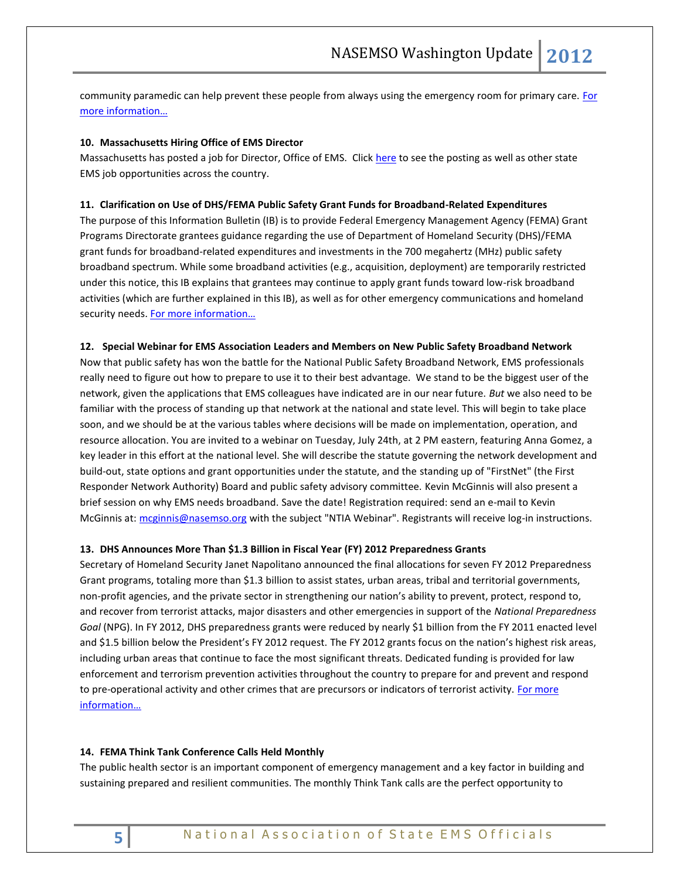community paramedic can help prevent these people from always using the emergency room for primary care. For [more information…](http://www.keyc.tv/story/18859943/new-law-funds-community-paramedics)

#### <span id="page-4-0"></span>**10. Massachusetts Hiring Office of EMS Director**

Massachusetts has posted a job for Director, Office of EMS. Click [here](https://www.nasemso.org/StateEMSJobBoard/index.asp) to see the posting as well as other state EMS job opportunities across the country.

#### <span id="page-4-2"></span><span id="page-4-1"></span>**11. Clarification on Use of DHS/FEMA Public Safety Grant Funds for Broadband-Related Expenditures**

The purpose of this Information Bulletin (IB) is to provide Federal Emergency Management Agency (FEMA) Grant Programs Directorate grantees guidance regarding the use of Department of Homeland Security (DHS)/FEMA grant funds for broadband-related expenditures and investments in the 700 megahertz (MHz) public safety broadband spectrum. While some broadband activities (e.g., acquisition, deployment) are temporarily restricted under this notice, this IB explains that grantees may continue to apply grant funds toward low-risk broadband activities (which are further explained in this IB), as well as for other emergency communications and homeland security needs. For more information...

# <span id="page-4-3"></span>**12. Special Webinar for EMS Association Leaders and Members on New Public Safety Broadband Network**

Now that public safety has won the battle for the National Public Safety Broadband Network, EMS professionals really need to figure out how to prepare to use it to their best advantage. We stand to be the biggest user of the network, given the applications that EMS colleagues have indicated are in our near future. *But* we also need to be familiar with the process of standing up that network at the national and state level. This will begin to take place soon, and we should be at the various tables where decisions will be made on implementation, operation, and resource allocation. You are invited to a webinar on Tuesday, July 24th, at 2 PM eastern, featuring Anna Gomez, a key leader in this effort at the national level. She will describe the statute governing the network development and build-out, state options and grant opportunities under the statute, and the standing up of "FirstNet" (the First Responder Network Authority) Board and public safety advisory committee. Kevin McGinnis will also present a brief session on why EMS needs broadband. Save the date! Registration required: send an e-mail to Kevin McGinnis at: [mcginnis@nasemso.org](mailto:mcginnis@nasemso.org) with the subject "NTIA Webinar". Registrants will receive log-in instructions.

### <span id="page-4-5"></span><span id="page-4-4"></span>**13. DHS Announces More Than \$1.3 Billion in Fiscal Year (FY) 2012 Preparedness Grants**

Secretary of Homeland Security Janet Napolitano announced the final allocations for seven FY 2012 Preparedness Grant programs, totaling more than \$1.3 billion to assist states, urban areas, tribal and territorial governments, non-profit agencies, and the private sector in strengthening our nation's ability to prevent, protect, respond to, and recover from terrorist attacks, major disasters and other emergencies in support of the *National Preparedness Goal* (NPG). In FY 2012, DHS preparedness grants were reduced by nearly \$1 billion from the FY 2011 enacted level and \$1.5 billion below the President's FY 2012 request. The FY 2012 grants focus on the nation's highest risk areas, including urban areas that continue to face the most significant threats. Dedicated funding is provided for law enforcement and terrorism prevention activities throughout the country to prepare for and prevent and respond to pre-operational activity and other crimes that are precursors or indicators of terrorist activity. For more [information…](http://www.dhs.gov/ynews/releases/20120629-dhs-announces-fy-2012-preparedness-grant-awards.shtm)

#### <span id="page-4-6"></span>**14. FEMA Think Tank Conference Calls Held Monthly**

The public health sector is an important component of emergency management and a key factor in building and sustaining prepared and resilient communities. The monthly Think Tank calls are the perfect opportunity to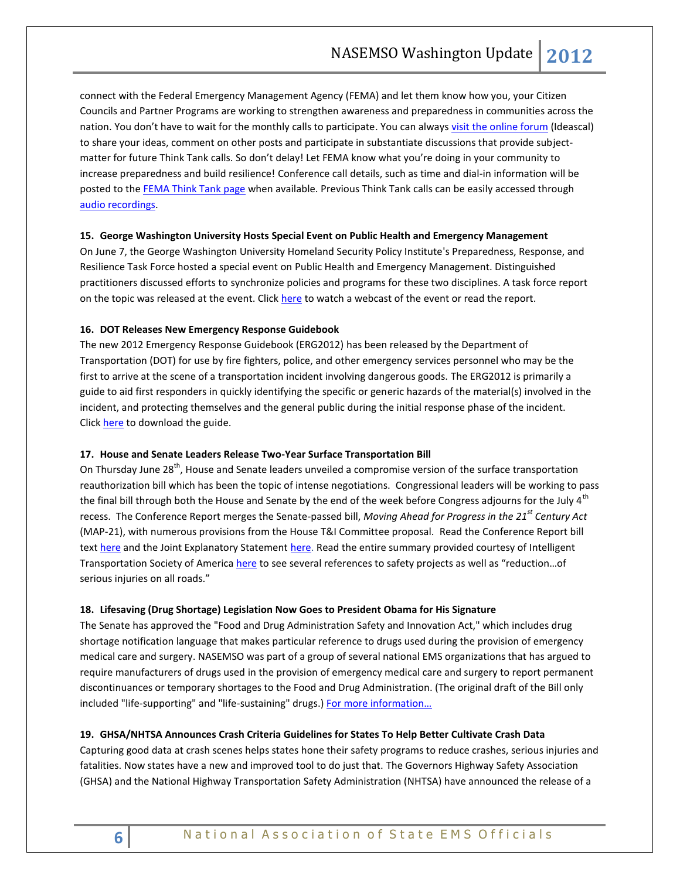connect with the Federal Emergency Management Agency (FEMA) and let them know how you, your Citizen Councils and Partner Programs are working to strengthen awareness and preparedness in communities across the nation. You don't have to wait for the monthly calls to participate. You can alway[s visit the online forum](http://fema.ideascale.com/a/ideafactory.do?id=14692&mode=recent&discussionFilter=byids&discussionID=57756) (Ideascal) to share your ideas, comment on other posts and participate in substantiate discussions that provide subjectmatter for future Think Tank calls. So don't delay! Let FEMA know what you're doing in your community to increase preparedness and build resilience! Conference call details, such as time and dial-in information will be posted to the [FEMA Think Tank page](http://www.fema.gov/thinktank/conferencecalls.shtm) when available. Previous Think Tank calls can be easily accessed through [audio recordings.](http://www.fema.gov/thinktank/archive.shtm)

# <span id="page-5-0"></span>**15. George Washington University Hosts Special Event on Public Health and Emergency Management**

On June 7, the George Washington University Homeland Security Policy Institute's Preparedness, Response, and Resilience Task Force hosted a special event on Public Health and Emergency Management. Distinguished practitioners discussed efforts to synchronize policies and programs for these two disciplines. A task force report on the topic was released at the event. Click [here](http://www.gwumc.edu/hspi/events/phem303.cfm) to watch a webcast of the event or read the report.

# <span id="page-5-2"></span><span id="page-5-1"></span>**16. DOT Releases New Emergency Response Guidebook**

The new 2012 Emergency Response Guidebook (ERG2012) has been released by the Department of Transportation (DOT) for use by fire fighters, police, and other emergency services personnel who may be the first to arrive at the scene of a transportation incident involving dangerous goods. The ERG2012 is primarily a guide to aid first responders in quickly identifying the specific or generic hazards of the material(s) involved in the incident, and protecting themselves and the general public during the initial response phase of the incident. Click [here](http://phmsa.dot.gov/staticfiles/PHMSA/DownloadableFiles/Files/Hazmat/ERG2012.pdf) to download the guide.

#### <span id="page-5-4"></span><span id="page-5-3"></span>**17. House and Senate Leaders Release Two-Year Surface Transportation Bill**

On Thursday June 28<sup>th</sup>, House and Senate leaders unveiled a compromise version of the surface transportation reauthorization bill which has been the topic of intense negotiations. Congressional leaders will be working to pass the final bill through both the House and Senate by the end of the week before Congress adjourns for the July 4<sup>th</sup> recess. The Conference Report merges the Senate-passed bill, *Moving Ahead for Progress in the 21st Century Act* (MAP-21), with numerous provisions from the House T&I Committee proposal. Read the Conference Report bill text [here](http://www.rules.house.gov/Media/file/PDF_112_2/LegislativeText/CRPT-112hrpt-HR4348.pdf) and the Joint Explanatory Statemen[t here.](http://www.rules.house.gov/Media/file/PDF_112_2/PDF/HR4348crJES.pdf) Read the entire summary provided courtesy of Intelligent Transportation Society of America [here](http://itsa.org/component/content/article/1-general/1436-breaking-news-house-and-senate-leaders-release-two-year-version-of-surface-transportation-bill-working-to-pass-final-bill-by-july-4-recess-) to see several references to safety projects as well as "reduction…of serious injuries on all roads."

# <span id="page-5-5"></span>**18. Lifesaving (Drug Shortage) Legislation Now Goes to President Obama for His Signature**

The Senate has approved the "Food and Drug Administration Safety and Innovation Act," which includes drug shortage notification language that makes particular reference to drugs used during the provision of emergency medical care and surgery. NASEMSO was part of a group of several national EMS organizations that has argued to require manufacturers of drugs used in the provision of emergency medical care and surgery to report permanent discontinuances or temporary shortages to the Food and Drug Administration. (The original draft of the Bill only included "life-supporting" and "life-sustaining" drugs.) [For more information…](http://www.help.senate.gov/newsroom/press/release/?id=7f2ca02f-acf8-4053-98ea-7a6c613b418d)

#### <span id="page-5-6"></span>**19. GHSA/NHTSA Announces Crash Criteria Guidelines for States To Help Better Cultivate Crash Data**

Capturing good data at crash scenes helps states hone their safety programs to reduce crashes, serious injuries and fatalities. Now states have a new and improved tool to do just that. The Governors Highway Safety Association (GHSA) and the National Highway Transportation Safety Administration (NHTSA) have announced the release of a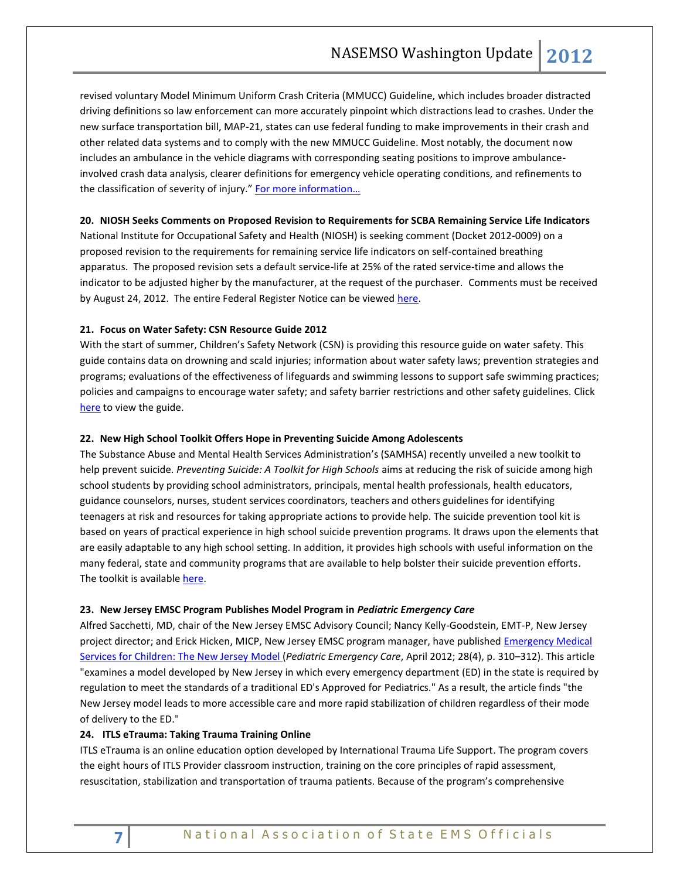revised voluntary Model Minimum Uniform Crash Criteria (MMUCC) Guideline, which includes broader distracted driving definitions so law enforcement can more accurately pinpoint which distractions lead to crashes. Under the new surface transportation bill, MAP-21, states can use federal funding to make improvements in their crash and other related data systems and to comply with the new MMUCC Guideline. Most notably, the document now includes an ambulance in the vehicle diagrams with corresponding seating positions to improve ambulanceinvolved crash data analysis, clearer definitions for emergency vehicle operating conditions, and refinements to the classification of severity of injury." For more information...

### <span id="page-6-1"></span><span id="page-6-0"></span>**20. NIOSH Seeks Comments on Proposed Revision to Requirements for SCBA Remaining Service Life Indicators**

National Institute for Occupational Safety and Health (NIOSH) is seeking comment (Docket 2012-0009) on a proposed revision to the requirements for remaining service life indicators on self-contained breathing apparatus. The proposed revision sets a default service-life at 25% of the rated service-time and allows the indicator to be adjusted higher by the manufacturer, at the request of the purchaser. Comments must be received by August 24, 2012. The entire Federal Register Notice can be viewed [here.](https://www.federalregister.gov/articles/2012/06/25/2012-14764/open-circuit-self-contained-breathing-apparatus-remaining-service-life-indicator-performance)

# <span id="page-6-3"></span><span id="page-6-2"></span>**21. Focus on Water Safety: CSN Resource Guide 2012**

With the start of summer, Children's Safety Network (CSN) is providing this resource guide on water safety. This guide contains data on drowning and scald injuries; information about water safety laws; prevention strategies and programs; evaluations of the effectiveness of lifeguards and swimming lessons to support safe swimming practices; policies and campaigns to encourage water safety; and safety barrier restrictions and other safety guidelines. Click [here](http://www.childrenssafetynetwork.org/sites/childrenssafetynetwork.org/files/WaterSafety_ResourceGuide2012.pdf) to view the guide.

### <span id="page-6-4"></span>**22. New High School Toolkit Offers Hope in Preventing Suicide Among Adolescents**

The Substance Abuse and Mental Health Services Administration's (SAMHSA) recently unveiled a new toolkit to help prevent suicide. *Preventing Suicide: A Toolkit for High Schools* aims at reducing the risk of suicide among high school students by providing school administrators, principals, mental health professionals, health educators, guidance counselors, nurses, student services coordinators, teachers and others guidelines for identifying teenagers at risk and resources for taking appropriate actions to provide help. The suicide prevention tool kit is based on years of practical experience in high school suicide prevention programs. It draws upon the elements that are easily adaptable to any high school setting. In addition, it provides high schools with useful information on the many federal, state and community programs that are available to help bolster their suicide prevention efforts. The toolkit is available here.

#### <span id="page-6-5"></span>**23. New Jersey EMSC Program Publishes Model Program in** *Pediatric Emergency Care*

Alfred Sacchetti, MD, chair of the New Jersey EMSC Advisory Council; Nancy Kelly-Goodstein, EMT-P, New Jersey project director; and Erick Hicken, MICP, New Jersey EMSC program manager, have published [Emergency Medical](http://click.bsftransmit1.com/ClickThru.aspx?pubids=8731%7c0044%7c445%7c497&digest=Bsui4dJF0NwWpv%2fuSf5dvA&sysid=1)  [Services for Children: The New Jersey Model \(](http://click.bsftransmit1.com/ClickThru.aspx?pubids=8731%7c0044%7c445%7c497&digest=Bsui4dJF0NwWpv%2fuSf5dvA&sysid=1)*Pediatric Emergency Care*, April 2012; 28(4), p. 310–312). This article "examines a model developed by New Jersey in which every emergency department (ED) in the state is required by regulation to meet the standards of a traditional ED's Approved for Pediatrics." As a result, the article finds "the New Jersey model leads to more accessible care and more rapid stabilization of children regardless of their mode of delivery to the ED."

#### <span id="page-6-7"></span><span id="page-6-6"></span>**24. ITLS eTrauma: Taking Trauma Training Online**

ITLS eTrauma is an online education option developed by International Trauma Life Support. The program covers the eight hours of ITLS Provider classroom instruction, training on the core principles of rapid assessment, resuscitation, stabilization and transportation of trauma patients. Because of the program's comprehensive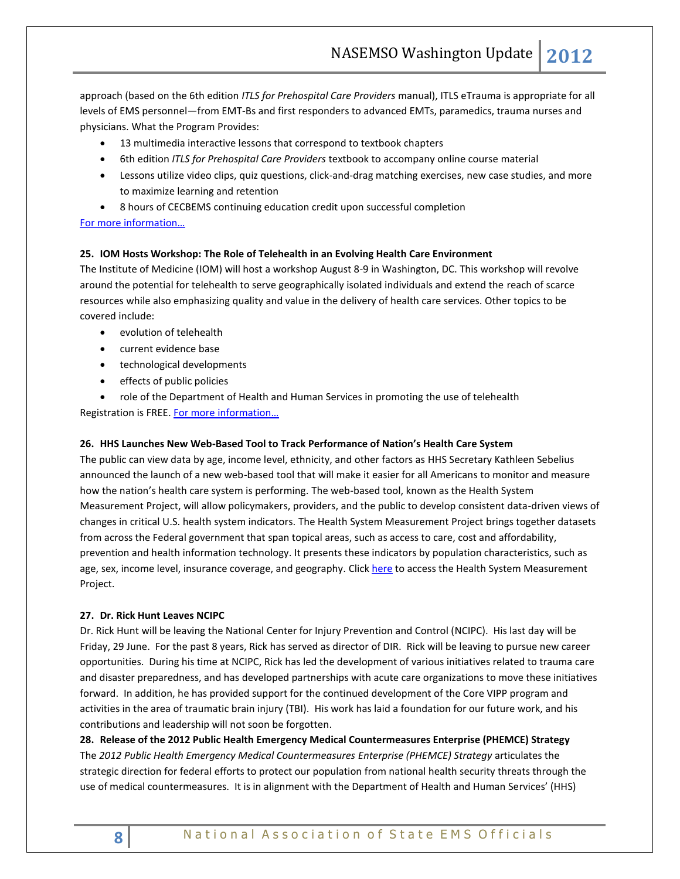approach (based on the 6th edition *ITLS for Prehospital Care Providers* manual), ITLS eTrauma is appropriate for all levels of EMS personnel—from EMT-Bs and first responders to advanced EMTs, paramedics, trauma nurses and physicians. What the Program Provides:

- 13 multimedia interactive lessons that correspond to textbook chapters
- 6th edition *ITLS for Prehospital Care Providers* textbook to accompany online course material
- Lessons utilize video clips, quiz questions, click-and-drag matching exercises, new case studies, and more to maximize learning and retention
- 8 hours of CECBEMS continuing education credit upon successful completion

# <span id="page-7-0"></span>[For more infor](http://www.itrauma.org/resources/ITLSeTrauma.asp)mation…

# <span id="page-7-1"></span>**25. IOM Hosts Workshop: The Role of [Telehealth in an Evolving Health Care Environment](http://click.newsletters.nas.edu/?ju=fe2015747c63007b751d77&ls=fdeb1c78716c017e7114747d&m=fefd1276756204&l=fe9a16717462057f7d&s=fe261c7974600474741273&jb=ffcf14&t=)**

The Institute of Medicine (IOM) will host a workshop August 8-9 in Washington, DC. This workshop will revolve around the potential for telehealth to serve geographically isolated individuals and extend the reach of scarce resources while also emphasizing quality and value in the delivery of health care services. Other topics to be covered include:

- evolution of telehealth
- current evidence base
- technological developments
- **•** effects of public policies
- role of the Department of Health and Human Services in promoting the use of telehealth Registration is FREE. [For more information…](http://iom.edu/Activities/HealthServices/Telehealth/2012-AUG-08.aspx?utm_medium=etmail&utm_source=Institute%20of%20Medicine&utm_campaign=06.12+IOM+News&utm_content=IOM%20Newsletter&utm_term=Non-profit)

# <span id="page-7-2"></span>**26. HHS Launches New Web-Based Tool to Track Performance of Nation's Health Care System**

The public can view data by age, income level, ethnicity, and other factors as HHS Secretary Kathleen Sebelius announced the launch of a new web-based tool that will make it easier for all Americans to monitor and measure how the nation's health care system is performing. The web-based tool, known as the Health System Measurement Project, will allow policymakers, providers, and the public to develop consistent data-driven views of changes in critical U.S. health system indicators. The Health System Measurement Project brings together datasets from across the Federal government that span topical areas, such as access to care, cost and affordability, prevention and health information technology. It presents these indicators by population characteristics, such as age, sex, income level, insurance coverage, and geography. Click [here](file:///C:/Users/admin/AppData/Local/Microsoft/Windows/Temporary%20Internet%20Files/Content.Outlook/7J8PNZ86/HealthMeasures.aspe.hhs.gov) to access the Health System Measurement Project.

### <span id="page-7-3"></span>**27. Dr. Rick Hunt Leaves NCIPC**

Dr. Rick Hunt will be leaving the National Center for Injury Prevention and Control (NCIPC). His last day will be Friday, 29 June. For the past 8 years, Rick has served as director of DIR. Rick will be leaving to pursue new career opportunities. During his time at NCIPC, Rick has led the development of various initiatives related to trauma care and disaster preparedness, and has developed partnerships with acute care organizations to move these initiatives forward. In addition, he has provided support for the continued development of the Core VIPP program and activities in the area of traumatic brain injury (TBI). His work has laid a foundation for our future work, and his contributions and leadership will not soon be forgotten.

<span id="page-7-4"></span>**28. Release of the 2012 Public Health Emergency Medical Countermeasures Enterprise (PHEMCE) Strategy** The *2012 Public Health Emergency Medical Countermeasures Enterprise (PHEMCE) Strategy* articulates the strategic direction for federal efforts to protect our population from national health security threats through the use of medical countermeasures. It is in alignment with the Department of Health and Human Services' (HHS)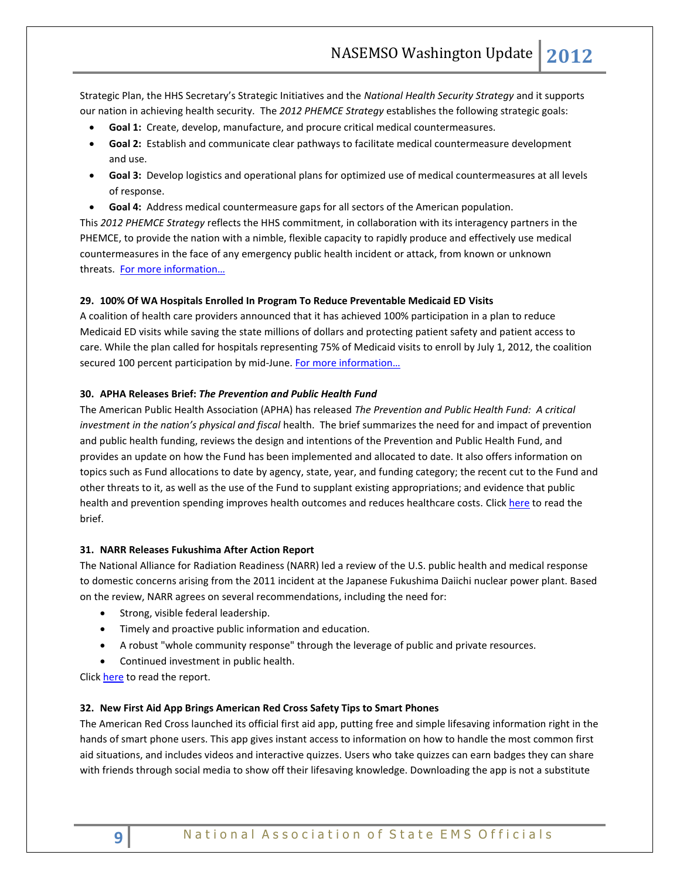Strategic Plan, the HHS Secretary's Strategic Initiatives and the *National Health Security Strategy* and it supports our nation in achieving health security. The *2012 PHEMCE Strategy* establishes the following strategic goals:

- **Goal 1:** Create, develop, manufacture, and procure critical medical countermeasures.
- **Goal 2:** Establish and communicate clear pathways to facilitate medical countermeasure development and use.
- **Goal 3:** Develop logistics and operational plans for optimized use of medical countermeasures at all levels of response.
- **Goal 4:** Address medical countermeasure gaps for all sectors of the American population.

This *2012 PHEMCE Strategy* reflects the HHS commitment, in collaboration with its interagency partners in the PHEMCE, to provide the nation with a nimble, flexible capacity to rapidly produce and effectively use medical countermeasures in the face of any emergency public health incident or attack, from known or unknown threats. [For more information…](http://www.phe.gov/Preparedness/mcm/phemce/Pages/strategy.aspx)

# <span id="page-8-1"></span><span id="page-8-0"></span>**29. 100% Of WA Hospitals Enrolled In Program To Reduce Preventable Medicaid ED Visits**

A coalition of health care providers announced that it has achieved 100% participation in a plan to reduce Medicaid ED visits while saving the state millions of dollars and protecting patient safety and patient access to care. While the plan called for hospitals representing 75% of Medicaid visits to enroll by July 1, 2012, the coalition secured 100 percent participation by mid-June. For more information...

# <span id="page-8-2"></span>**30. APHA Releases Brief:** *The Prevention and Public Health Fund*

The American Public Health Association (APHA) has released *The Prevention and Public Health Fund: A critical investment in the nation's physical and fiscal* health. The brief summarizes the need for and impact of prevention and public health funding, reviews the design and intentions of the Prevention and Public Health Fund, and provides an update on how the Fund has been implemented and allocated to date. It also offers information on topics such as Fund allocations to date by agency, state, year, and funding category; the recent cut to the Fund and other threats to it, as well as the use of the Fund to supplant existing appropriations; and evidence that public health and prevention spending improves health outcomes and reduces healthcare costs. Clic[k here](http://www.apha.org/NR/rdonlyres/8FA13774-AA47-43F2-838B-1B0757D111C6/0/APHA_PrevFundBrief_June2012.pdf) to read the brief.

# <span id="page-8-3"></span>**31. NARR Releases Fukushima After Action Report**

The National Alliance for Radiation Readiness (NARR) led a review of the U.S. public health and medical response to domestic concerns arising from the 2011 incident at the Japanese Fukushima Daiichi nuclear power plant. Based on the review, NARR agrees on several recommendations, including the need for:

- Strong, visible federal leadership.
- Timely and proactive public information and education.
- A robust "whole community response" through the leverage of public and private resources.
- Continued investment in public health.

Click [here](http://www.nasemso.org/Resources/Links/ResourceLinks/documents/NARRFukushimaAARCompleteFINAL.pdf) to read the report.

# <span id="page-8-4"></span>**32. New First Aid App Brings American Red Cross Safety Tips to Smart Phones**

The American Red Cross launched its official first aid app, putting free and simple lifesaving information right in the hands of smart phone users. This app gives instant access to information on how to handle the most common first aid situations, and includes videos and interactive quizzes. Users who take quizzes can earn badges they can share with friends through social media to show off their lifesaving knowledge. Downloading the app is not a substitute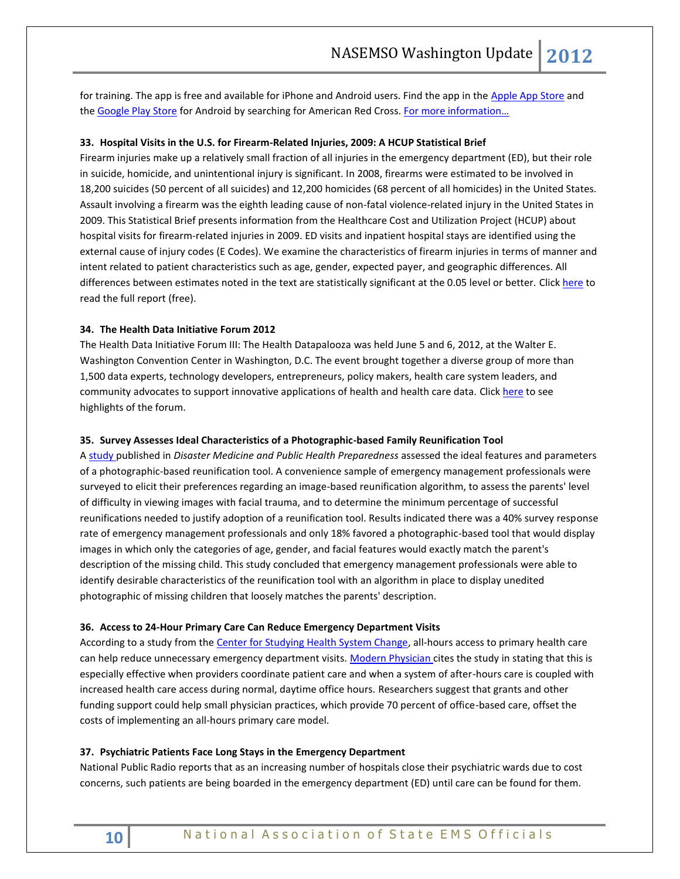for training. The app is free and available for iPhone and Android users. Find the app in the [Apple App Store](http://itunes.apple.com/US/app/first-aid-by-american-red-cross/id529160691?mt=8) and the [Google Play Store](https://play.google.com/store/apps/details?id=com.cube.arc.fa) for Android by searching for American Red Cross. [For more information…](http://www.redcross.org/portal/site/en/menuitem.94aae335470e233f6cf911df43181aa0/?vgnextoid=c0d8ae0c897e7310VgnVCM10000089f0870aRCRD)

# <span id="page-9-1"></span><span id="page-9-0"></span>**33. Hospital Visits in the U.S. for Firearm-Related Injuries, 2009: A HCUP Statistical Brief**

Firearm injuries make up a relatively small fraction of all injuries in the emergency department (ED), but their role in suicide, homicide, and unintentional injury is significant. In 2008, firearms were estimated to be involved in 18,200 suicides (50 percent of all suicides) and 12,200 homicides (68 percent of all homicides) in the United States. Assault involving a firearm was the eighth leading cause of non-fatal violence-related injury in the United States in 2009. This Statistical Brief presents information from the Healthcare Cost and Utilization Project (HCUP) about hospital visits for firearm-related injuries in 2009. ED visits and inpatient hospital stays are identified using the external cause of injury codes (E Codes). We examine the characteristics of firearm injuries in terms of manner and intent related to patient characteristics such as age, gender, expected payer, and geographic differences. All differences between estimates noted in the text are statistically significant at the 0.05 level or better. Clic[k here](http://www.hcup-us.ahrq.gov/reports/statbriefs/sb136.pdf) to read the full report (free).

# <span id="page-9-2"></span>**34. The Health Data Initiative Forum 2012**

The Health Data Initiative Forum III: The Health Datapalooza was held June 5 and 6, 2012, at the Walter E. Washington Convention Center in Washington, D.C. The event brought together a diverse group of more than 1,500 data experts, technology developers, entrepreneurs, policy makers, health care system leaders, and community advocates to support innovative applications of health and health care data. Click [here](http://www.hdiforum.org/page/show/537435-2012-highlights) to see highlights of the forum.

### <span id="page-9-3"></span>**35. Survey Assesses Ideal Characteristics of a Photographic-based Family Reunification Tool**

A [study p](http://www.ncbi.nlm.nih.gov/pubmed/22700025)ublished in *Disaster Medicine and Public Health Preparedness* assessed the ideal features and parameters of a photographic-based reunification tool. A convenience sample of emergency management professionals were surveyed to elicit their preferences regarding an image-based reunification algorithm, to assess the parents' level of difficulty in viewing images with facial trauma, and to determine the minimum percentage of successful reunifications needed to justify adoption of a reunification tool. Results indicated there was a 40% survey response rate of emergency management professionals and only 18% favored a photographic-based tool that would display images in which only the categories of age, gender, and facial features would exactly match the parent's description of the missing child. This study concluded that emergency management professionals were able to identify desirable characteristics of the reunification tool with an algorithm in place to display unedited photographic of missing children that loosely matches the parents' description.

#### <span id="page-9-4"></span>**36. Access to 24-Hour Primary Care Can Reduce Emergency Department Visits**

According to a study from the [Center for Studying Health System Change,](http://click.bsftransmit1.com/ClickThru.aspx?pubids=8731%7c0068%7c445%7c497&digest=qy%2bHMKrQs0HCRS0UukivEw&sysid=1) all-hours access to primary health care can help reduce unnecessary emergency department visits. [Modern Physician c](http://click.bsftransmit1.com/ClickThru.aspx?pubids=8731%7c0069%7c445%7c497&digest=slc%2brxSJzT0OyIucY687Zg&sysid=1)ites the study in stating that this is especially effective when providers coordinate patient care and when a system of after-hours care is coupled with increased health care access during normal, daytime office hours. Researchers suggest that grants and other funding support could help small physician practices, which provide 70 percent of office-based care, offset the costs of implementing an all-hours primary care model.

# <span id="page-9-5"></span>**37. Psychiatric Patients Face Long Stays in the Emergency Department**

National Public Radio reports that as an increasing number of hospitals close their psychiatric wards due to cost concerns, such patients are being boarded in the emergency department (ED) until care can be found for them.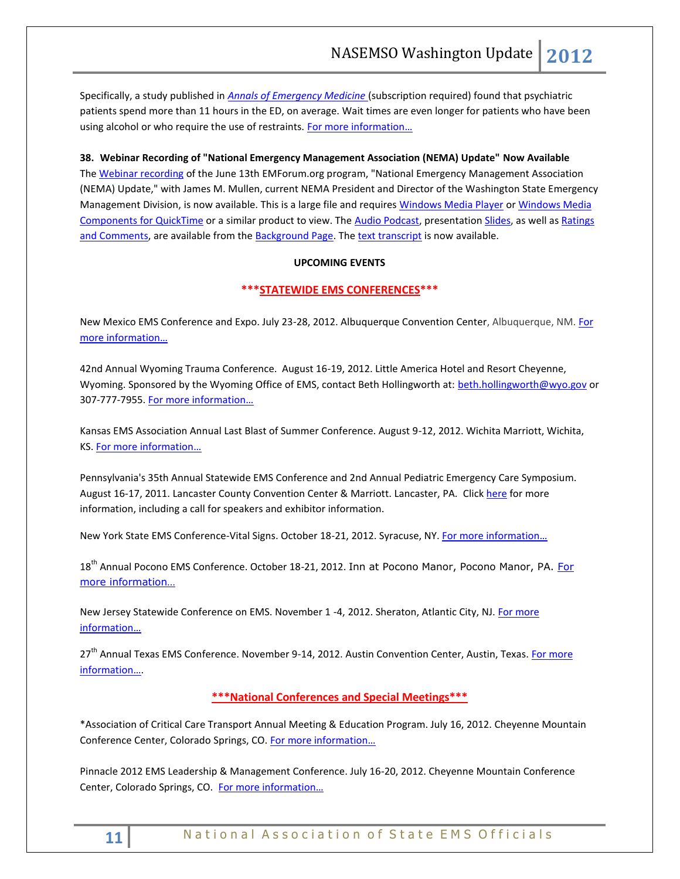Specifically, a study published in *[Annals of Emergency Medicine](http://click.bsftransmit1.com/ClickThru.aspx?pubids=8731%7c0061%7c445%7c497&digest=aznnZLqIJ%2fGDo%2fQ6QLaGaw&sysid=1)* (subscription required) found that psychiatric patients spend more than 11 hours in the ED, on average. Wait times are even longer for patients who have been using alcohol or who require the use of restraints[. For more information](http://www.npr.org/blogs/health/2012/05/31/154004864/as-psychiatric-wards-close-patients-languish-in-emergency-rooms?utm_source=WhatCounts+Publicaster+Edition&utm_medium=email&utm_campaign=EMSC+Health+Policy+News%3a+June+18%2c+2012&utm_content=National+Public+Radio)...

<span id="page-10-0"></span>**38. Webinar Recording of "National Emergency Management Association (NEMA) Update" Now Available**

The [Webinar recording](http://t.ymlp224.net/mumqaiajmquaxaujbaiaeqmj/click.php) of the June 13th EMForum.org program, "National Emergency Management Association (NEMA) Update," with James M. Mullen, current NEMA President and Director of the Washington State Emergency Management Division, is now available. This is a large file and requires [Windows Media Player](http://t.ymlp224.net/mumyaaajmquapaujbanaeqmj/click.php) o[r Windows Media](http://t.ymlp224.net/mujsafajmquazaujbakaeqmj/click.php)  [Components for QuickTime](http://t.ymlp224.net/mujsafajmquazaujbakaeqmj/click.php) or a similar product to view. The [Audio Podcast,](http://t.ymlp224.net/mujuakajmquadaujbadaeqmj/click.php) presentatio[n Slides,](http://t.ymlp224.net/mujearajmquakaujbazaeqmj/click.php) as well as Ratings [and Comments,](http://t.ymlp224.net/mujmalajmquanaujbaraeqmj/click.php) are available from the [Background Page.](http://t.ymlp224.net/mujjafajmquapaujbaoaeqmj/click.php) The [text transcript](http://t.ymlp224.net/mubmapajjmqazauweaoamssw/click.php) is now available.

# **UPCOMING EVENTS**

# **\*\*\*STATEWIDE EMS CONFERENCES\*\*\***

<span id="page-10-2"></span><span id="page-10-1"></span>New Mexico EMS Conference and Expo. July 23-28, 2012. Albuquerque Convention Center, Albuquerque, NM. For [more information…](http://www.emsregion3.org/)

42nd Annual Wyoming Trauma Conference. August 16-19, 2012. Little America Hotel and Resort Cheyenne, Wyoming. Sponsored by the Wyoming Office of EMS, contact Beth Hollingworth at: [beth.hollingworth@wyo.gov](mailto:beth.hollingworth@wyo.gov) or 307-777-7955. For more information...

Kansas EMS Association Annual Last Blast of Summer Conference. August 9-12, 2012. Wichita Marriott, Wichita, KS. [For more information…](http://www.kemsa.org/LBOS.html) 

Pennsylvania's 35th Annual Statewide EMS Conference and 2nd Annual Pediatric Emergency Care Symposium. August 16-17, 2011. Lancaster County Convention Center & Marriott. Lancaster, PA. Click [here](http://www.cvent.com/events/35th-annual-pennsylvania-statewide-ems-conference/event-summary-dd4555c433834f8aada4af9332575af6.aspx) for more information, including a call for speakers and exhibitor information.

New York State EMS Conference-Vital Signs. October 18-21, 2012. Syracuse, NY. For more information...

18<sup>th</sup> Annual Pocono EMS Conference. October 18-21, 2012. Inn at Pocono Manor, Pocono Manor, PA. For [more information…](http://www.poconoemsconference.com/)

New Jersey Statewide Conference on EMS. November 1 -4, 2012. Sheraton, Atlantic City, NJ[. For more](http://www.njemsconference.com/)  [information…](http://www.njemsconference.com/)

27<sup>th</sup> Annual Texas EMS Conference. November 9-14, 2012. Austin Convention Center, Austin, Texas. For more [information…](http://www.texasemsconference.com/).

# **\*\*\*National Conferences and Special Meetings\*\*\***

<span id="page-10-3"></span>\*Association of Critical Care Transport Annual Meeting & Education Program. July 16, 2012. Cheyenne Mountain Conference Center, Colorado Springs, CO. [For more information…](http://www.acctforpatients.org/ACCTmeetings.asp)

Pinnacle 2012 EMS Leadership & Management Conference. July 16-20, 2012. Cheyenne Mountain Conference Center, Colorado Springs, CO. For more information...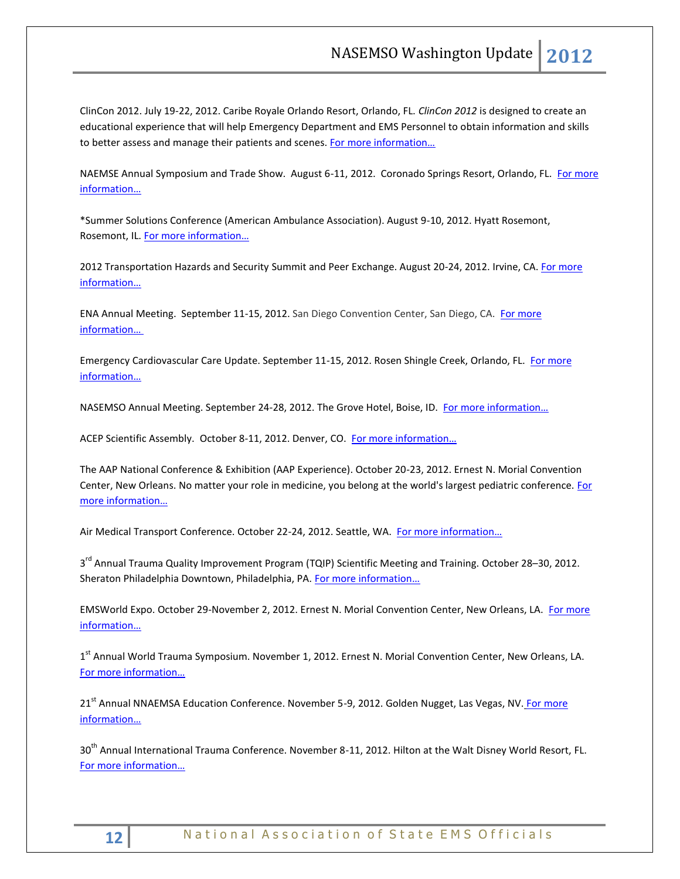ClinCon 2012. July 19-22, 2012. Caribe Royale Orlando Resort, Orlando, FL. *ClinCon 2012* is designed to create an educational experience that will help Emergency Department and EMS Personnel to obtain information and skills to better assess and manage their patients and scenes. For more information...

NAEMSE Annual Symposium and Trade Show. August 6-11, 2012. Coronado Springs Resort, Orlando, FL. For more i[nformation…](http://www.naemse.org/symposium)

\*Summer Solutions Conference (American Ambulance Association). August 9-10, 2012. Hyatt Rosemont, Rosemont, IL. [For more information…](http://www.the-aaa.org/default.asp?contentID=405)

2012 Transportation Hazards and Security Summit and Peer Exchange. August 20-24, 2012. Irvine, CA. For more [information…](http://www.trb.org/Calendar/Blurbs/166997.aspx)

ENA Annual Meeting. September 11-15, 2012. San Diego Convention Center, San Diego, CA. [For more](http://www.ena.org/coursesandeducation/conferences/Pages/Default.aspx)  [information…](http://www.ena.org/coursesandeducation/conferences/Pages/Default.aspx)

Emergency Cardiovascular Care Update. September 11-15, 2012. Rosen Shingle Creek, Orlando, FL. For more [information…](http://www.eccu2012.com/)

NASEMSO Annual Meeting. September 24-28, 2012. The Grove Hotel, Boise, ID. For more information...

ACEP Scientific Assembly. October 8-11, 2012. Denver, CO. For more information...

The AAP National Conference & Exhibition (AAP Experience). October 20-23, 2012. Ernest N. Morial Convention Center, New Orleans. No matter your role in medicine, you belong at the world's largest pediatric conference. For [more information…](http://www.aapexperience.org/)

Air Medical Transport Conference. October 22-24, 2012. Seattle, WA. [For more information…](http://www.aams.org/AAMS/Education___Meetings/AMTC_2012/aams/EducationMeetings/AMTC_2012/AMTC_2012_Overview.aspx)

3<sup>rd</sup> Annual Trauma Quality Improvement Program (TQIP) Scientific Meeting and Training. October 28–30, 2012. Sheraton Philadelphia Downtown, Philadelphia, PA. For more information...

EMSWorld Expo. October 29-November 2, 2012. Ernest N. Morial Convention Center, New Orleans, LA. For more [information…](http://emsworldexpo.com/)

1<sup>st</sup> Annual World Trauma Symposium. November 1, 2012. Ernest N. Morial Convention Center, New Orleans, LA. [For more information…](http://www.worldtraumasymposium.com/)

21<sup>st</sup> Annual NNAEMSA Education Conference. November 5-9, 2012. Golden Nugget, Las Vegas, NV. For more [information…](http://www.nnaemsa.org/)

30<sup>th</sup> Annual International Trauma Conference. November 8-11, 2012. Hilton at the Walt Disney World Resort, FL. [For more information…](http://www.itrauma.org/conference/)